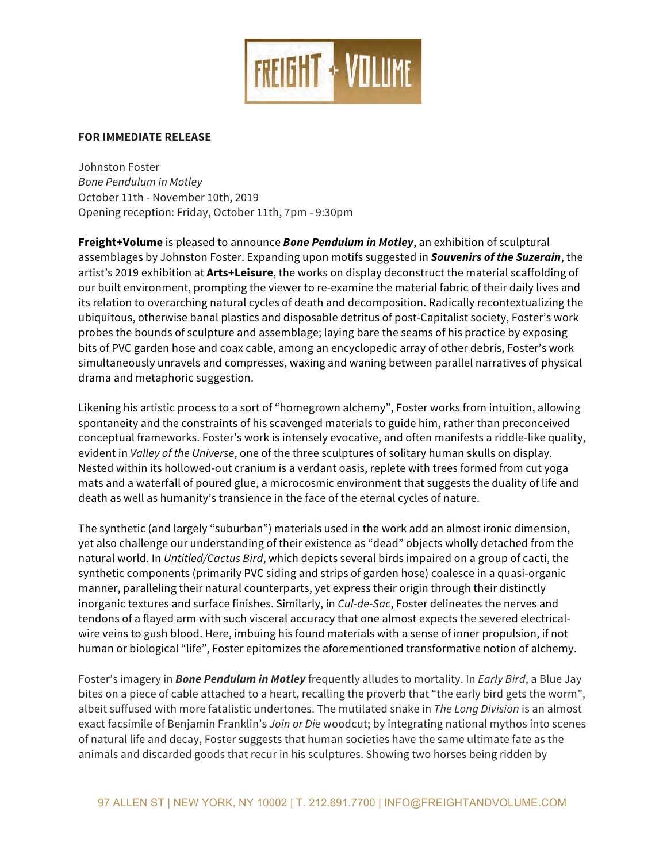

## **FOR IMMEDIATE RELEASE**

Johnston Foster *Bone Pendulum in Motley* October 11th - November 10th, 2019 Opening reception: Friday, October 11th, 7pm - 9:30pm

**Freight+Volume** is pleased to announce *Bone Pendulum in Motley*, an exhibition of sculptural assemblages by Johnston Foster. Expanding upon motifs suggested in *Souvenirs of the Suzerain*, the artist's 2019 exhibition at **Arts+Leisure**, the works on display deconstruct the material scaffolding of our built environment, prompting the viewer to re-examine the material fabric of their daily lives and its relation to overarching natural cycles of death and decomposition. Radically recontextualizing the ubiquitous, otherwise banal plastics and disposable detritus of post-Capitalist society, Foster's work probes the bounds of sculpture and assemblage; laying bare the seams of his practice by exposing bits of PVC garden hose and coax cable, among an encyclopedic array of other debris, Foster's work simultaneously unravels and compresses, waxing and waning between parallel narratives of physical drama and metaphoric suggestion.

Likening his artistic process to a sort of "homegrown alchemy", Foster works from intuition, allowing spontaneity and the constraints of his scavenged materials to guide him, rather than preconceived conceptual frameworks. Foster's work is intensely evocative, and often manifests a riddle-like quality, evident in *Valley of the Universe*, one of the three sculptures of solitary human skulls on display. Nested within its hollowed-out cranium is a verdant oasis, replete with trees formed from cut yoga mats and a waterfall of poured glue, a microcosmic environment that suggests the duality of life and death as well as humanity's transience in the face of the eternal cycles of nature.

The synthetic (and largely "suburban") materials used in the work add an almost ironic dimension, yet also challenge our understanding of their existence as "dead" objects wholly detached from the natural world. In *Untitled/Cactus Bird*, which depicts several birds impaired on a group of cacti, the synthetic components (primarily PVC siding and strips of garden hose) coalesce in a quasi-organic manner, paralleling their natural counterparts, yet express their origin through their distinctly inorganic textures and surface finishes. Similarly, in *Cul-de-Sac*, Foster delineates the nerves and tendons of a flayed arm with such visceral accuracy that one almost expects the severed electricalwire veins to gush blood. Here, imbuing his found materials with a sense of inner propulsion, if not human or biological "life", Foster epitomizes the aforementioned transformative notion of alchemy.

Foster's imagery in *Bone Pendulum in Motley* frequently alludes to mortality. In *Early Bird*, a Blue Jay bites on a piece of cable attached to a heart, recalling the proverb that "the early bird gets the worm", albeit suffused with more fatalistic undertones. The mutilated snake in *The Long Division* is an almost exact facsimile of Benjamin Franklin's *Join or Die* woodcut; by integrating national mythos into scenes of natural life and decay, Foster suggests that human societies have the same ultimate fate as the animals and discarded goods that recur in his sculptures. Showing two horses being ridden by